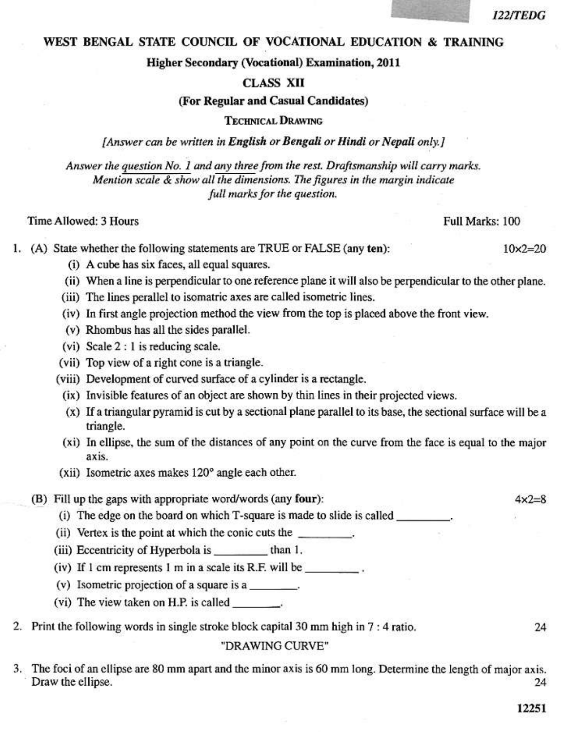### 122/TEDG

### WEST BENGAL STATE COUNCIL OF VOCATIONAL EDUCATION & TRAINING

**Higher Secondary (Vocational) Examination. 2011** 

### **CLASS XII**

### (For Regular and Casual Candidates)

### **TECHNICAL DRAWING**

[Answer can be written in English or Bengali or Hindi or Nepali only.]

Answer the question No. 1 and any three from the rest. Draftsmanship will carry marks. Mention scale & show all the dimensions. The figures in the margin indicate full marks for the question.

### Time Allowed: 3 Hours

# Full Marks: 100

1. (A) State whether the following statements are TRUE or FALSE (any ten):

- (i) A cube has six faces, all equal squares.
- (ii) When a line is perpendicular to one reference plane it will also be perpendicular to the other plane.
- (iii) The lines perallel to isomatric axes are called isometric lines.
- (iv) In first angle projection method the view from the top is placed above the front view.
- (v) Rhombus has all the sides parallel.
- $(vi)$  Scale 2 : 1 is reducing scale.
- (vii) Top view of a right cone is a triangle.
- (viii) Development of curved surface of a cylinder is a rectangle.
	- (ix) Invisible features of an object are shown by thin lines in their projected views.
	- (x) If a triangular pyramid is cut by a sectional plane parallel to its base, the sectional surface will be a triangle.
	- (xi) In ellipse, the sum of the distances of any point on the curve from the face is equal to the major axis.
- (xii) Isometric axes makes 120° angle each other.
- (B) Fill up the gaps with appropriate word/words (any four):
	- (i) The edge on the board on which T-square is made to slide is called
	- (ii) Vertex is the point at which the conic cuts the
	- (iii) Eccentricity of Hyperbola is \_\_\_\_\_\_\_\_\_\_ than 1.
	- (iv) If 1 cm represents 1 m in a scale its R.F. will be  $\frac{1}{\sqrt{1-\frac{1}{n}}}\$ .
	- (v) Isometric projection of a square is a
	- (vi) The view taken on H.P. is called
- 2. Print the following words in single stroke block capital 30 mm high in 7 : 4 ratio.

### "DRAWING CURVE"

3. The foci of an ellipse are 80 mm apart and the minor axis is 60 mm long. Determine the length of major axis. Draw the ellipse. 24

24

 $4x2=8$ 

 $10x2 = 20$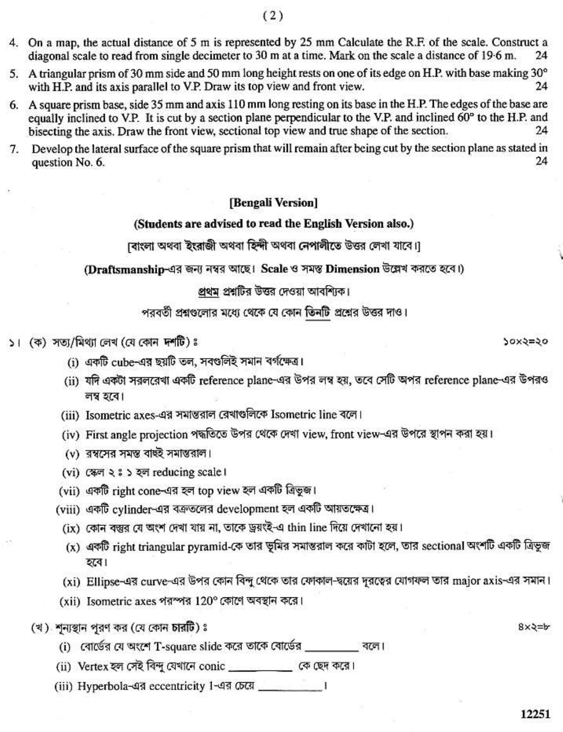- 4. On a map, the actual distance of 5 m is represented by 25 mm Calculate the R.F. of the scale. Construct a diagonal scale to read from single decimeter to 30 m at a time. Mark on the scale a distance of 19.6 m. 24
- 5. A triangular prism of 30 mm side and 50 mm long height rests on one of its edge on H.P. with base making 30° with H.P. and its axis parallel to V.P. Draw its top view and front view. 24
- 6. A square prism base, side 35 mm and axis 110 mm long resting on its base in the H.P. The edges of the base are equally inclined to V.P. It is cut by a section plane perpendicular to the V.P. and inclined 60° to the H.P. and bisecting the axis. Draw the front view, sectional top view and true shape of the section. 24
- Develop the lateral surface of the square prism that will remain after being cut by the section plane as stated in 7. 24 question No. 6.

## [Bengali Version]

### (Students are advised to read the English Version also.)

াবাংলা অথবা ইংরাজী অথবা হিন্দী অথবা নেপালীতে উত্তর লেখা যাবে।]

(Draftsmanship-এর জন্য নম্বর আছে। Scale ও সমস্ত Dimension উল্লেখ করতে হবে।)

### প্রথম প্রশ্নটির উত্তর দেওয়া আবশ্যিক।

পরবর্তী প্রশ্নগুলোর মধ্যে থেকে যে কোন তিনটি প্রশ্নের উত্তর দাও।

- ১। (ক) সত্য/মিথ্যা লেখ (যে কোন দশটি)ঃ
	- (i) একটি cube-এর ছয়টি তল, সবণ্ডলিই সমান বর্গক্ষেত্র।
	- (ii) যদি একটা সরলরেখা একটি reference plane-এর উপর লম্ব হয়, তবে সেটি অপর reference plane-এর উপরও লম্ব হবে।
	- (iii) Isometric axes-এর সমান্তরাল রেখাগুলিকে Isometric line বলে।
	- (iv) First angle projection পদ্ধতিতে উপর থেকে দেখা view, front view-এর উপরে স্থাপন করা হয়।
	- (v) রম্বসের সমস্ত বাছই সমান্তরাল।
	- (vi) (क्षण २: ३ २ व्ल reducing scale ।
	- (vii) একটি right cone-এর হল top view হল একটি ত্রিভজ।
	- (viii) একটি cylinder-এর বক্রতলের development হল একটি আয়তক্ষেত্র।
		- (ix) কোন বস্তুর যে অংশ দেখা যায় না, তাকে ড্রয়ংই-এ thin line দিয়ে দেখানো হয়।
		- (x) একটি right triangular pyramid-কে তার ভূমির সমাস্তরাল করে কাটা হলে, তার sectional অংশটি একটি ত্রিভুজ হবে।
		- (xi) Ellipse-এর curve-এর উপর কোন বিন্দু থেকে তার ফোকাল-দ্বয়ের দূরত্বের যোগফল তার major axis-এর সমান।
	- (xii) Isometric axes পরস্পর 120° কোণে অবস্থান করে।
	- (খ) শন্যস্থান পুরণ কর (যে কোন চারটি) ঃ
		- (i) বোর্ডের যে অংশে T-square slide করে তাকে বোর্ডের বলে।
		- (ii) Vertex হল সেই বিন্দু যেখানে conic \_\_\_\_\_\_\_\_ কে ছেদ করে।
		-

 $8x2=b$ 

20x5=50